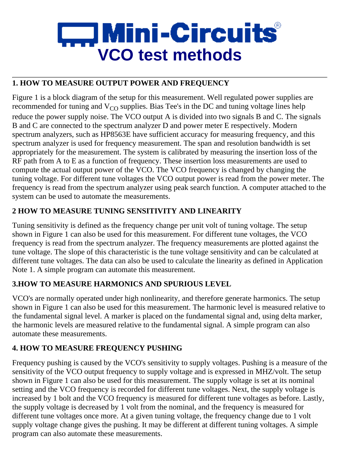# $\Box$  Mini-Circuits $^{\circ}$ **VCO test methods**

# **1. HOW TO MEASURE OUTPUT POWER AND FREQUENCY**

Figure 1 is a block diagram of the setup for this measurement. Well regulated power supplies are recommended for tuning and  $V_{\rm CO}$  supplies. Bias Tee's in the DC and tuning voltage lines help reduce the power supply noise. The VCO output A is divided into two signals B and C. The signals B and C are connected to the spectrum analyzer D and power meter E respectively. Modern spectrum analyzers, such as HP8563E have sufficient accuracy for measuring frequency, and this spectrum analyzer is used for frequency measurement. The span and resolution bandwidth is set appropriately for the measurement. The system is calibrated by measuring the insertion loss of the RF path from A to E as a function of frequency. These insertion loss measurements are used to compute the actual output power of the VCO. The VCO frequency is changed by changing the tuning voltage. For different tune voltages the VCO output power is read from the power meter. The frequency is read from the spectrum analyzer using peak search function. A computer attached to the system can be used to automate the measurements.

## **2 HOW TO MEASURE TUNING SENSITIVITY AND LINEARITY**

Tuning sensitivity is defined as the frequency change per unit volt of tuning voltage. The setup shown in Figure 1 can also be used for this measurement. For different tune voltages, the VCO frequency is read from the spectrum analyzer. The frequency measurements are plotted against the tune voltage. The slope of this characteristic is the tune voltage sensitivity and can be calculated at different tune voltages. The data can also be used to calculate the linearity as defined in Application Note 1. A simple program can automate this measurement.

# **3.HOW TO MEASURE HARMONICS AND SPURIOUS LEVEL**

VCO's are normally operated under high nonlinearity, and therefore generate harmonics. The setup shown in Figure 1 can also be used for this measurement. The harmonic level is measured relative to the fundamental signal level. A marker is placed on the fundamental signal and, using delta marker, the harmonic levels are measured relative to the fundamental signal. A simple program can also automate these measurements.

# **4. HOW TO MEASURE FREQUENCY PUSHING**

Frequency pushing is caused by the VCO's sensitivity to supply voltages. Pushing is a measure of the sensitivity of the VCO output frequency to supply voltage and is expressed in MHZ/volt. The setup shown in Figure 1 can also be used for this measurement. The supply voltage is set at its nominal setting and the VCO frequency is recorded for different tune voltages. Next, the supply voltage is increased by 1 bolt and the VCO frequency is measured for different tune voltages as before. Lastly, the supply voltage is decreased by 1 volt from the nominal, and the frequency is measured for different tune voltages once more. At a given tuning voltage, the frequency change due to 1 volt supply voltage change gives the pushing. It may be different at different tuning voltages. A simple program can also automate these measurements.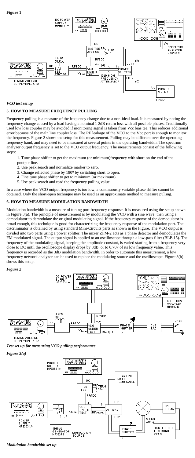### **Figure 1**



#### *VCO test set up*

## **5. HOW TO MEASURE FREQUENCY PULLING**

Frequency pulling is a measure of the frequency change due to a non-ideal load. It is measured by noting the frequency change caused by a load having a nominal 1 2dB return loss with all possible phases. Traditionally used low loss coupler may be avoided if monitoring signal is taken from Vcc bias tee. This reduces additional error because of the maln line coupler loss. The RF leakage of the VCO to the Vcc port is enough to monitor the frequency. Figure 2 shows the setup for this measurement. Pulling may be different over the operating frequency band, and may need to be measured at several points in the operating bandwidth. The spectrum analyzer output frequency is set to the VCO output frequency. The measurements consist of the following steps:

1. Tune phase shifter to get the maximum (or minimum)frequency with short on the end of the poutput line.

- 2. Use peak search and normalize marker to zero.
- 3. Change reflected phase by 180<sup>o</sup> by switching short to open.
- 4. Fine tune phase shifter to get to minimum (or maximum).
- 5. Use peak search and read the frequency pulling value.

In a case where the VCO output frequency is too low, a continuously variable phase shifter cannot be obtained. Only the short-open technique may be used as an approximate method to measure pulling.

### **6. HOW TO MEASURE MODULATION BANDWIDTH**

Modulation bandwidth is a measure of tuning port frequency response. It is measured using the setup shown in Figure 3(a). The principle of measurement is by modulating the VCO with a sine wave, then using a demodulator to demodulate the original modulating signal. If the frequency response of the demodulator is broad enough, this technique is good for characterizing the frequency response of the modulation port. The discriminator is obtained by using standard Mini-Circuits parts as shown in the Figure. The VCO output is divided into two parts using a power splitter. The mixer ZFM-2 acts as a phase detector and demodulates the FM modulated signal. The output signal is applied to an oscilloscope through a low-pass filter (BLP-15). The frequency of the modulating signal, keeping the amplitude constant, is varied starting from a frequency very close to DC until the oscilloscope display drops by 3dB, or to 0.707 of its low frequency value. This frequency is recorded as the 3dB modulation bandwidth. In order to automate this measurement, a low frequency network analyzer can be used to replace the modulating source and the oscilloscope. Figure 3(b) shows this setup.

*Figure 2*



*Test set up for measuring VCO pulling performance*

*Figure 3(a)*



*Modulation bandwidth set up*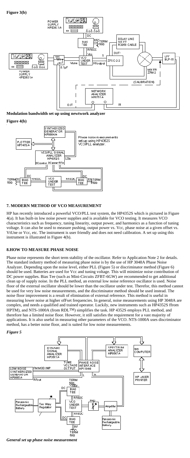**Figure 3(b)**



**Modulation bandwidth set up using newtwork analyzer**

**Figure 4(b)**



### **7. MODERN METHOD OF VCO MEASUREMENT**

HP has recently introduced a powerful VCO/PLL test system, the HP4352S which is pictured in Figure 4(a). It has built-in low noise power supplies and is available for VCO testing. It measures VCO characteristics such as frequency, tuning linearity, output power, and harmonics as a function of tuning voltage. It can also be used to measure pushing, output power vs. Vcc, phase noise at a given offset vs. VtUne or Vcc, etc. The instrument is user friendly and does not need calibration. A set up using this instrument is illustrated in Figure 4(b).

### **8.HOW TO MEASURE PHASE NOISE**

Phase noise represents the short term stability of the oscillator. Refer to Application Note 2 for details. The standard industry method of measuring phase noise is by the use of HP 3048A Phase Noise Analyzer. Depending upon the noise level, either PLL (Figure 5) or discriminator method (Figure 6) should be used. Batteries are used for Vcc and tuning voltage. This will minimize noise contribution of DC power supplies. Bias Tee (such as Mini-Circuits ZFBT-6GW) are recommended to get additional clean up of supply noise. In the PLL method, an external low noise reference oscillator is used. Noise floor of the external oscillator should be lower than the oscillator under test. Therefor, this method cannot be used for very low noise measurements, and the discriminator method should be used instead. The noise floor improvement is a result of elimination of external reference. This method is useful in measuring lower noise at higher ofFset frequencies. In general, noise measurements using HP 3048A are complex, and needs a qualified and trained operator. Luckily, new instruments such as HP4352S ffrom HPTM), and NTS-1000A (from RDL<sup>TM</sup>) simplifies the task. HP 4352S employs PLL method, and therefore has a limited noise floor. However, it still satisfies the requirement for a vast majority of applications. It is also useful in measuring other parameters of the VCO. NTS-1000A uses discriminator method, has a better noise floor, and is suited for low noise measurements.

#### *Figure 5*



*General set up phase noise measurement*